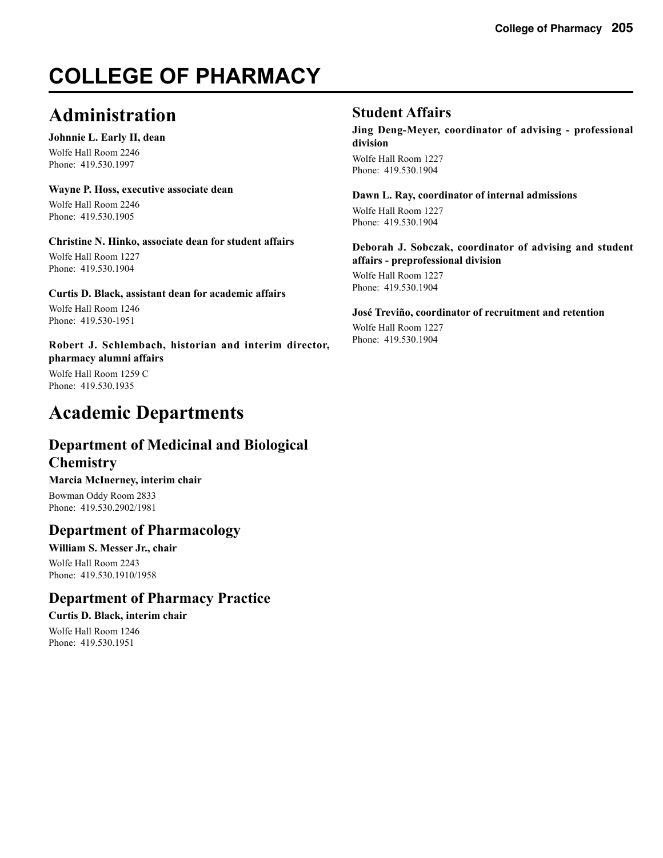# **COLLEGE OF PHARMACY**

# **Administration**

## **Johnnie L. Early II, dean**

Wolfe Hall Room 2246 Phone: 419.530.1997

## **Wayne P. Hoss, executive associate dean**

Wolfe Hall Room 2246 Phone: 419.530.1905

## **Christine N. Hinko, associate dean for student affairs**

Wolfe Hall Room 1227 Phone: 419.530.1904

## **Curtis D. Black, assistant dean for academic affairs**

Wolfe Hall Room 1246 Phone: 419.530-1951

## **Robert J. Schlembach, historian and interim director, pharmacy alumni affairs**

Wolfe Hall Room 1259 C Phone: 419.530.1935

# **Academic Departments**

# **Department of Medicinal and Biological Chemistry**

**Marcia McInerney, interim chair**

Bowman Oddy Room 2833 Phone: 419.530.2902/1981

## **Department of Pharmacology**

## **William S. Messer Jr., chair** Wolfe Hall Room 2243

Phone: 419.530.1910/1958

# **Department of Pharmacy Practice**

## **Curtis D. Black, interim chair**

Wolfe Hall Room 1246 Phone: 419.530.1951

## **Student Affairs**

**Jing Deng-Meyer, coordinator of advising - professional division** Wolfe Hall Room 1227 Phone: 419.530.1904

**Dawn L. Ray, coordinator of internal admissions** Wolfe Hall Room 1227 Phone: 419.530.1904

## **Deborah J. Sobczak, coordinator of advising and student affairs - preprofessional division**

Wolfe Hall Room 1227 Phone: 419.530.1904

### **José Treviño, coordinator of recruitment and retention** Wolfe Hall Room 1227 Phone: 419.530.1904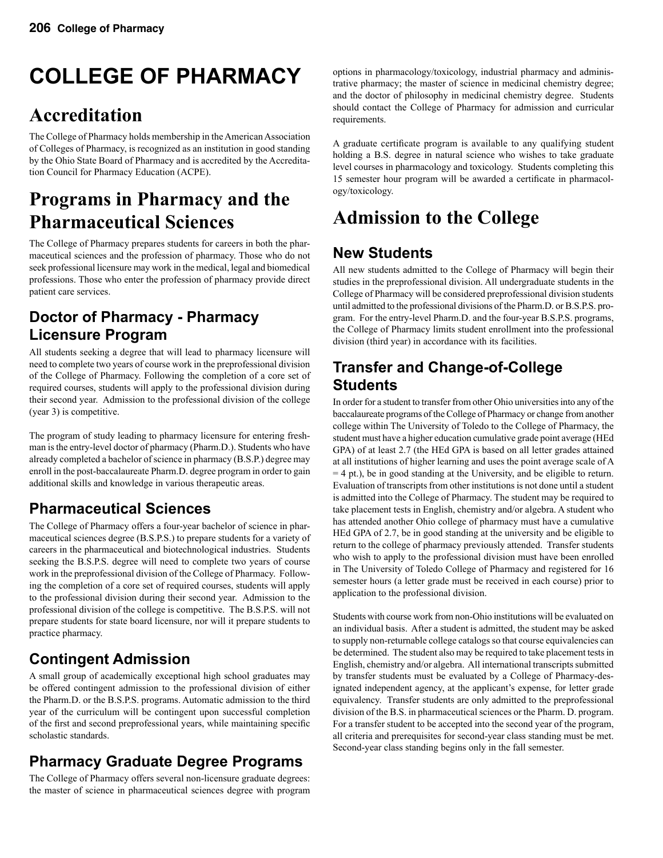# **COLLEGE OF PHARMACY**

# **Accreditation**

The College of Pharmacy holds membership in the American Association of Colleges of Pharmacy, is recognized as an institution in good standing by the Ohio State Board of Pharmacy and is accredited by the Accreditation Council for Pharmacy Education (ACPE).

# **Programs in Pharmacy and the Pharmaceutical Sciences**

The College of Pharmacy prepares students for careers in both the pharmaceutical sciences and the profession of pharmacy. Those who do not seek professional licensure may work in the medical, legal and biomedical professions. Those who enter the profession of pharmacy provide direct patient care services.

# **Doctor of Pharmacy - Pharmacy Licensure Program**

All students seeking a degree that will lead to pharmacy licensure will need to complete two years of course work in the preprofessional division of the College of Pharmacy. Following the completion of a core set of required courses, students will apply to the professional division during their second year. Admission to the professional division of the college (year 3) is competitive.

The program of study leading to pharmacy licensure for entering freshman is the entry-level doctor of pharmacy (Pharm.D.). Students who have already completed a bachelor of science in pharmacy (B.S.P.) degree may enroll in the post-baccalaureate Pharm.D. degree program in order to gain additional skills and knowledge in various therapeutic areas.

# **Pharmaceutical Sciences**

The College of Pharmacy offers a four-year bachelor of science in pharmaceutical sciences degree (B.S.P.S.) to prepare students for a variety of careers in the pharmaceutical and biotechnological industries. Students seeking the B.S.P.S. degree will need to complete two years of course work in the preprofessional division of the College of Pharmacy. Following the completion of a core set of required courses, students will apply to the professional division during their second year. Admission to the professional division of the college is competitive. The B.S.P.S. will not prepare students for state board licensure, nor will it prepare students to practice pharmacy.

# **Contingent Admission**

A small group of academically exceptional high school graduates may be offered contingent admission to the professional division of either the Pharm.D. or the B.S.P.S. programs. Automatic admission to the third year of the curriculum will be contingent upon successful completion of the first and second preprofessional years, while maintaining specific scholastic standards.

# **Pharmacy Graduate Degree Programs**

The College of Pharmacy offers several non-licensure graduate degrees: the master of science in pharmaceutical sciences degree with program options in pharmacology/toxicology, industrial pharmacy and administrative pharmacy; the master of science in medicinal chemistry degree; and the doctor of philosophy in medicinal chemistry degree. Students should contact the College of Pharmacy for admission and curricular requirements.

A graduate certificate program is available to any qualifying student holding a B.S. degree in natural science who wishes to take graduate level courses in pharmacology and toxicology. Students completing this 15 semester hour program will be awarded a certificate in pharmacology/toxicology.

# **Admission to the College**

# **New Students**

All new students admitted to the College of Pharmacy will begin their studies in the preprofessional division. All undergraduate students in the College of Pharmacy will be considered preprofessional division students until admitted to the professional divisions of the Pharm.D. or B.S.P.S. program. For the entry-level Pharm.D. and the four-year B.S.P.S. programs, the College of Pharmacy limits student enrollment into the professional division (third year) in accordance with its facilities.

# **Transfer and Change-of-College Students**

In order for a student to transfer from other Ohio universities into any of the baccalaureate programs of the College of Pharmacy or change from another college within The University of Toledo to the College of Pharmacy, the student must have a higher education cumulative grade point average (HEd GPA) of at least 2.7 (the HEd GPA is based on all letter grades attained at all institutions of higher learning and uses the point average scale of A = 4 pt.), be in good standing at the University, and be eligible to return. Evaluation of transcripts from other institutions is not done until a student is admitted into the College of Pharmacy. The student may be required to take placement tests in English, chemistry and/or algebra. A student who has attended another Ohio college of pharmacy must have a cumulative HEd GPA of 2.7, be in good standing at the university and be eligible to return to the college of pharmacy previously attended. Transfer students who wish to apply to the professional division must have been enrolled in The University of Toledo College of Pharmacy and registered for 16 semester hours (a letter grade must be received in each course) prior to application to the professional division.

Students with course work from non-Ohio institutions will be evaluated on an individual basis. After a student is admitted, the student may be asked to supply non-returnable college catalogs so that course equivalencies can be determined. The student also may be required to take placement tests in English, chemistry and/or algebra. All international transcripts submitted by transfer students must be evaluated by a College of Pharmacy-designated independent agency, at the applicant's expense, for letter grade equivalency. Transfer students are only admitted to the preprofessional division of the B.S. in pharmaceutical sciences or the Pharm. D. program. For a transfer student to be accepted into the second year of the program, all criteria and prerequisites for second-year class standing must be met. Second-year class standing begins only in the fall semester.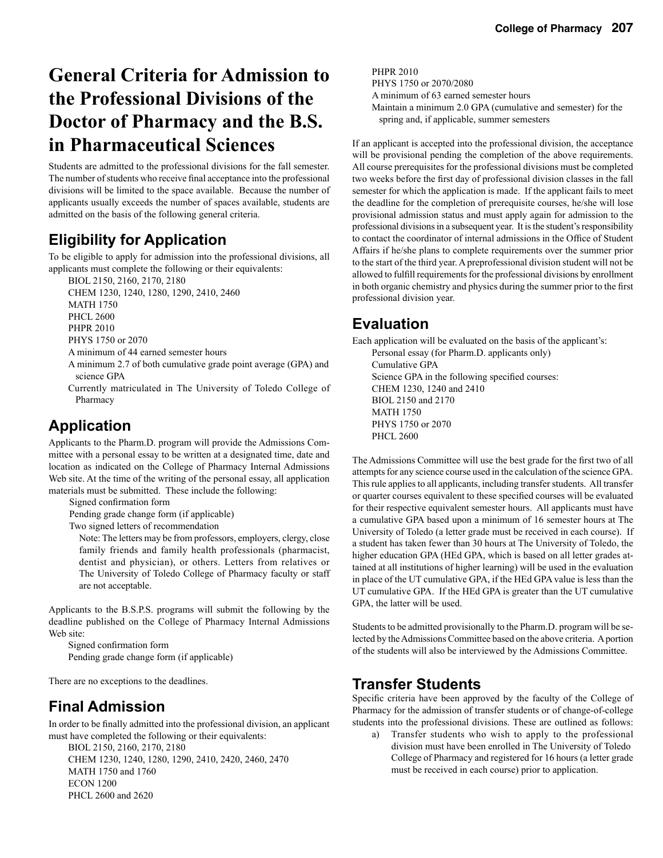# **General Criteria for Admission to the Professional Divisions of the Doctor of Pharmacy and the B.S. in Pharmaceutical Sciences**

Students are admitted to the professional divisions for the fall semester. The number of students who receive final acceptance into the professional divisions will be limited to the space available. Because the number of applicants usually exceeds the number of spaces available, students are admitted on the basis of the following general criteria.

# **Eligibility for Application**

To be eligible to apply for admission into the professional divisions, all applicants must complete the following or their equivalents:

BIOL 2150, 2160, 2170, 2180

 CHEM 1230, 1240, 1280, 1290, 2410, 2460 MATH 1750 PHCL 2600 PHPR 2010 PHYS 1750 or 2070 A minimum of 44 earned semester hours

 A minimum 2.7 of both cumulative grade point average (GPA) and science GPA

 Currently matriculated in The University of Toledo College of Pharmacy

# **Application**

Applicants to the Pharm.D. program will provide the Admissions Committee with a personal essay to be written at a designated time, date and location as indicated on the College of Pharmacy Internal Admissions Web site. At the time of the writing of the personal essay, all application materials must be submitted. These include the following:

Signed confirmation form

Pending grade change form (if applicable)

Two signed letters of recommendation

 Note: The letters may be from professors, employers, clergy, close family friends and family health professionals (pharmacist, dentist and physician), or others. Letters from relatives or The University of Toledo College of Pharmacy faculty or staff are not acceptable.

Applicants to the B.S.P.S. programs will submit the following by the deadline published on the College of Pharmacy Internal Admissions Web site:

 Signed confirmation form Pending grade change form (if applicable)

There are no exceptions to the deadlines.

## **Final Admission**

In order to be finally admitted into the professional division, an applicant must have completed the following or their equivalents:

 BIOL 2150, 2160, 2170, 2180 CHEM 1230, 1240, 1280, 1290, 2410, 2420, 2460, 2470 MATH 1750 and 1760 ECON 1200 PHCL 2600 and 2620

 PHPR 2010 PHYS 1750 or 2070/2080 A minimum of 63 earned semester hours Maintain a minimum 2.0 GPA (cumulative and semester) for the spring and, if applicable, summer semesters

If an applicant is accepted into the professional division, the acceptance will be provisional pending the completion of the above requirements. All course prerequisites for the professional divisions must be completed two weeks before the first day of professional division classes in the fall semester for which the application is made. If the applicant fails to meet the deadline for the completion of prerequisite courses, he/she will lose provisional admission status and must apply again for admission to the professional divisions in a subsequent year. It is the student's responsibility to contact the coordinator of internal admissions in the Office of Student Affairs if he/she plans to complete requirements over the summer prior to the start of the third year. A preprofessional division student will not be allowed to fulfill requirements for the professional divisions by enrollment in both organic chemistry and physics during the summer prior to the first professional division year.

# **Evaluation**

Each application will be evaluated on the basis of the applicant's: Personal essay (for Pharm.D. applicants only) Cumulative GPA Science GPA in the following specified courses: CHEM 1230, 1240 and 2410 BIOL 2150 and 2170 MATH 1750 PHYS 1750 or 2070 PHCL 2600

The Admissions Committee will use the best grade for the first two of all attempts for any science course used in the calculation of the science GPA. This rule applies to all applicants, including transfer students. All transfer or quarter courses equivalent to these specified courses will be evaluated for their respective equivalent semester hours. All applicants must have a cumulative GPA based upon a minimum of 16 semester hours at The University of Toledo (a letter grade must be received in each course). If a student has taken fewer than 30 hours at The University of Toledo, the higher education GPA (HEd GPA, which is based on all letter grades attained at all institutions of higher learning) will be used in the evaluation in place of the UT cumulative GPA, if the HEd GPA value is less than the UT cumulative GPA. If the HEd GPA is greater than the UT cumulative GPA, the latter will be used.

Students to be admitted provisionally to the Pharm.D. program will be selected by the Admissions Committee based on the above criteria. A portion of the students will also be interviewed by the Admissions Committee.

## **Transfer Students**

Specific criteria have been approved by the faculty of the College of Pharmacy for the admission of transfer students or of change-of-college students into the professional divisions. These are outlined as follows:

 a) Transfer students who wish to apply to the professional division must have been enrolled in The University of Toledo College of Pharmacy and registered for 16 hours (a letter grade must be received in each course) prior to application.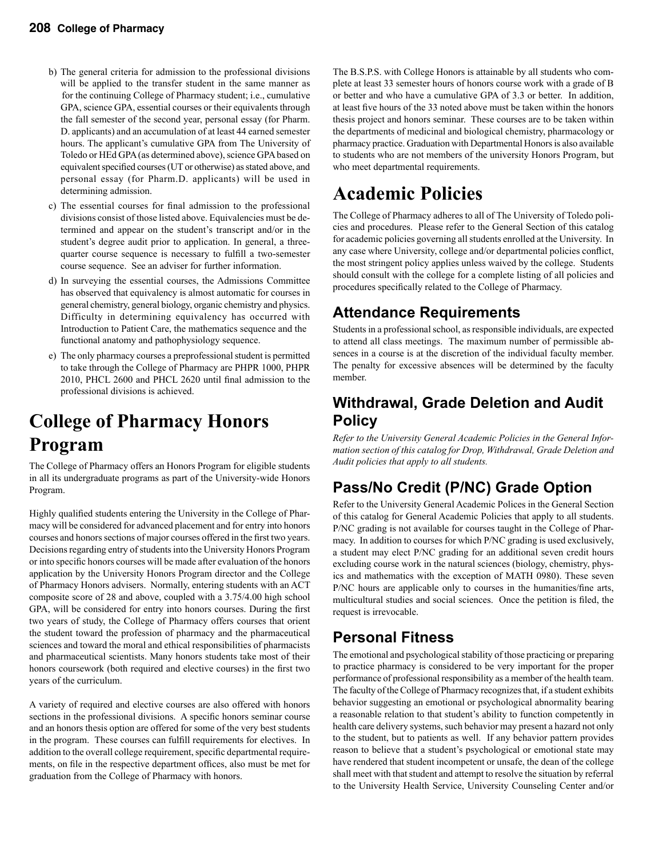- b) The general criteria for admission to the professional divisions will be applied to the transfer student in the same manner as for the continuing College of Pharmacy student; i.e., cumulative GPA, science GPA, essential courses or their equivalents through the fall semester of the second year, personal essay (for Pharm. D. applicants) and an accumulation of at least 44 earned semester hours. The applicant's cumulative GPA from The University of Toledo or HEd GPA (as determined above), science GPA based on equivalent specified courses (UT or otherwise) as stated above, and personal essay (for Pharm.D. applicants) will be used in determining admission.
- c) The essential courses for final admission to the professional divisions consist of those listed above. Equivalencies must be de termined and appear on the student's transcript and/or in the student's degree audit prior to application. In general, a three quarter course sequence is necessary to fulfill a two-semester course sequence. See an adviser for further information.
- d) In surveying the essential courses, the Admissions Committee has observed that equivalency is almost automatic for courses in general chemistry, general biology, organic chemistry and physics. Difficulty in determining equivalency has occurred with Introduction to Patient Care, the mathematics sequence and the functional anatomy and pathophysiology sequence.
- e) The only pharmacy courses a preprofessional student is permitted to take through the College of Pharmacy are PHPR 1000, PHPR 2010, PHCL 2600 and PHCL 2620 until final admission to the professional divisions is achieved.

# **College of Pharmacy Honors Program**

The College of Pharmacy offers an Honors Program for eligible students in all its undergraduate programs as part of the University-wide Honors Program.

Highly qualified students entering the University in the College of Pharmacy will be considered for advanced placement and for entry into honors courses and honors sections of major courses offered in the first two years. Decisions regarding entry of students into the University Honors Program or into specific honors courses will be made after evaluation of the honors application by the University Honors Program director and the College of Pharmacy Honors advisers. Normally, entering students with an ACT composite score of 28 and above, coupled with a 3.75/4.00 high school GPA, will be considered for entry into honors courses. During the first two years of study, the College of Pharmacy offers courses that orient the student toward the profession of pharmacy and the pharmaceutical sciences and toward the moral and ethical responsibilities of pharmacists and pharmaceutical scientists. Many honors students take most of their honors coursework (both required and elective courses) in the first two years of the curriculum.

A variety of required and elective courses are also offered with honors sections in the professional divisions. A specific honors seminar course and an honors thesis option are offered for some of the very best students in the program. These courses can fulfill requirements for electives. In addition to the overall college requirement, specific departmental requirements, on file in the respective department offices, also must be met for graduation from the College of Pharmacy with honors.

The B.S.P.S. with College Honors is attainable by all students who complete at least 33 semester hours of honors course work with a grade of B or better and who have a cumulative GPA of 3.3 or better. In addition, at least five hours of the 33 noted above must be taken within the honors thesis project and honors seminar. These courses are to be taken within the departments of medicinal and biological chemistry, pharmacology or pharmacy practice. Graduation with Departmental Honors is also available to students who are not members of the university Honors Program, but who meet departmental requirements.

# **Academic Policies**

The College of Pharmacy adheres to all of The University of Toledo policies and procedures. Please refer to the General Section of this catalog for academic policies governing all students enrolled at the University. In any case where University, college and/or departmental policies conflict, the most stringent policy applies unless waived by the college. Students should consult with the college for a complete listing of all policies and procedures specifically related to the College of Pharmacy.

# **Attendance Requirements**

Students in a professional school, as responsible individuals, are expected to attend all class meetings. The maximum number of permissible absences in a course is at the discretion of the individual faculty member. The penalty for excessive absences will be determined by the faculty member.

# **Withdrawal, Grade Deletion and Audit Policy**

*Refer to the University General Academic Policies in the General Information section of this catalog for Drop, Withdrawal, Grade Deletion and Audit policies that apply to all students.* 

# **Pass/No Credit (P/NC) Grade Option**

Refer to the University General Academic Polices in the General Section of this catalog for General Academic Policies that apply to all students. P/NC grading is not available for courses taught in the College of Pharmacy. In addition to courses for which P/NC grading is used exclusively, a student may elect P/NC grading for an additional seven credit hours excluding course work in the natural sciences (biology, chemistry, physics and mathematics with the exception of MATH 0980). These seven P/NC hours are applicable only to courses in the humanities/fine arts, multicultural studies and social sciences. Once the petition is filed, the request is irrevocable.

# **Personal Fitness**

The emotional and psychological stability of those practicing or preparing to practice pharmacy is considered to be very important for the proper performance of professional responsibility as a member of the health team. The faculty of the College of Pharmacy recognizes that, if a student exhibits behavior suggesting an emotional or psychological abnormality bearing a reasonable relation to that student's ability to function competently in health care delivery systems, such behavior may present a hazard not only to the student, but to patients as well. If any behavior pattern provides reason to believe that a student's psychological or emotional state may have rendered that student incompetent or unsafe, the dean of the college shall meet with that student and attempt to resolve the situation by referral to the University Health Service, University Counseling Center and/or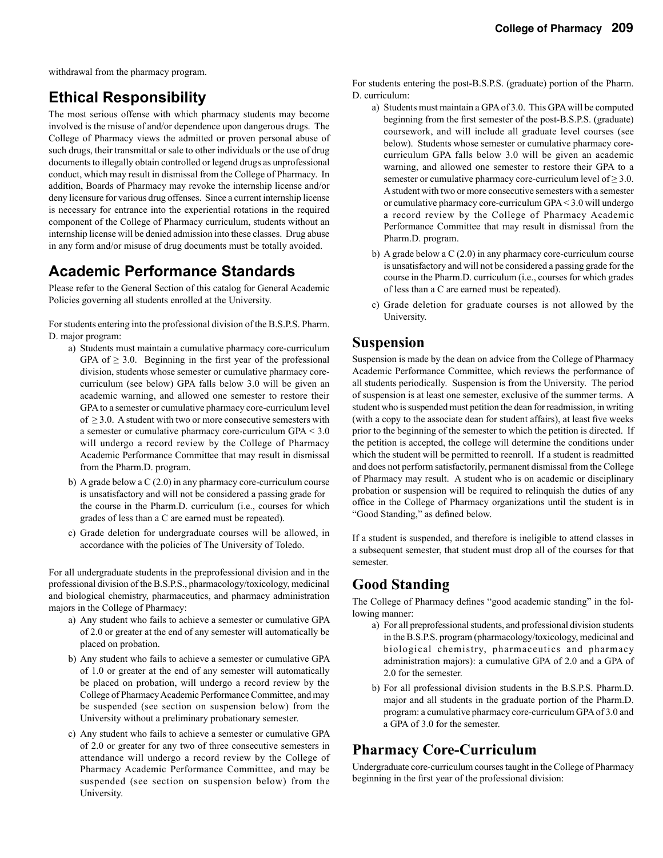withdrawal from the pharmacy program.

# **Ethical Responsibility**

The most serious offense with which pharmacy students may become involved is the misuse of and/or dependence upon dangerous drugs. The College of Pharmacy views the admitted or proven personal abuse of such drugs, their transmittal or sale to other individuals or the use of drug documents to illegally obtain controlled or legend drugs as unprofessional conduct, which may result in dismissal from the College of Pharmacy. In addition, Boards of Pharmacy may revoke the internship license and/or deny licensure for various drug offenses. Since a current internship license is necessary for entrance into the experiential rotations in the required component of the College of Pharmacy curriculum, students without an internship license will be denied admission into these classes. Drug abuse in any form and/or misuse of drug documents must be totally avoided.

## **Academic Performance Standards**

Please refer to the General Section of this catalog for General Academic Policies governing all students enrolled at the University.

For students entering into the professional division of the B.S.P.S. Pharm. D. major program:

- a) Students must maintain a cumulative pharmacy core-curriculum GPA of  $\geq$  3.0. Beginning in the first year of the professional division, students whose semester or cumulative pharmacy core curriculum (see below) GPA falls below 3.0 will be given an academic warning, and allowed one semester to restore their GPA to a semester or cumulative pharmacy core-curriculum level of  $\geq$  3.0. A student with two or more consecutive semesters with a semester or cumulative pharmacy core-curriculum GPA < 3.0 will undergo a record review by the College of Pharmacy Academic Performance Committee that may result in dismissal from the Pharm.D. program.
- b) A grade below a C (2.0) in any pharmacy core-curriculum course is unsatisfactory and will not be considered a passing grade for the course in the Pharm.D. curriculum (i.e., courses for which grades of less than a C are earned must be repeated).
- c) Grade deletion for undergraduate courses will be allowed, in accordance with the policies of The University of Toledo.

For all undergraduate students in the preprofessional division and in the professional division of the B.S.P.S., pharmacology/toxicology, medicinal and biological chemistry, pharmaceutics, and pharmacy administration majors in the College of Pharmacy:

- a) Any student who fails to achieve a semester or cumulative GPA of 2.0 or greater at the end of any semester will automatically be placed on probation.
- b) Any student who fails to achieve a semester or cumulative GPA of 1.0 or greater at the end of any semester will automatically be placed on probation, will undergo a record review by the College of Pharmacy Academic Performance Committee, and may be suspended (see section on suspension below) from the University without a preliminary probationary semester.
- c) Any student who fails to achieve a semester or cumulative GPA of 2.0 or greater for any two of three consecutive semesters in attendance will undergo a record review by the College of Pharmacy Academic Performance Committee, and may be suspended (see section on suspension below) from the University.

For students entering the post-B.S.P.S. (graduate) portion of the Pharm. D. curriculum:

- a) Students must maintain a GPA of 3.0. This GPA will be computed beginning from the first semester of the post-B.S.P.S. (graduate) coursework, and will include all graduate level courses (see below). Students whose semester or cumulative pharmacy core curriculum GPA falls below 3.0 will be given an academic warning, and allowed one semester to restore their GPA to a semester or cumulative pharmacy core-curriculum level of  $\geq 3.0$ . A student with two or more consecutive semesters with a semester or cumulative pharmacy core-curriculum GPA < 3.0 will undergo a record review by the College of Pharmacy Academic Performance Committee that may result in dismissal from the Pharm.D. program.
- b) A grade below a C (2.0) in any pharmacy core-curriculum course is unsatisfactory and will not be considered a passing grade for the course in the Pharm.D. curriculum (i.e., courses for which grades of less than a C are earned must be repeated).
- c) Grade deletion for graduate courses is not allowed by the University.

## **Suspension**

Suspension is made by the dean on advice from the College of Pharmacy Academic Performance Committee, which reviews the performance of all students periodically. Suspension is from the University. The period of suspension is at least one semester, exclusive of the summer terms. A student who is suspended must petition the dean for readmission, in writing (with a copy to the associate dean for student affairs), at least five weeks prior to the beginning of the semester to which the petition is directed. If the petition is accepted, the college will determine the conditions under which the student will be permitted to reenroll. If a student is readmitted and does not perform satisfactorily, permanent dismissal from the College of Pharmacy may result. A student who is on academic or disciplinary probation or suspension will be required to relinquish the duties of any office in the College of Pharmacy organizations until the student is in "Good Standing," as defined below.

If a student is suspended, and therefore is ineligible to attend classes in a subsequent semester, that student must drop all of the courses for that semester.

## **Good Standing**

The College of Pharmacy defines "good academic standing" in the following manner:

- a) For all preprofessional students, and professional division students in the B.S.P.S. program (pharmacology/toxicology, medicinal and biological chemistry, pharmaceutics and pharmacy administration majors): a cumulative GPA of 2.0 and a GPA of 2.0 for the semester.
- b) For all professional division students in the B.S.P.S. Pharm.D. major and all students in the graduate portion of the Pharm.D. program: a cumulative pharmacy core-curriculum GPA of 3.0 and a GPA of 3.0 for the semester.

# **Pharmacy Core-Curriculum**

Undergraduate core-curriculum courses taught in the College of Pharmacy beginning in the first year of the professional division: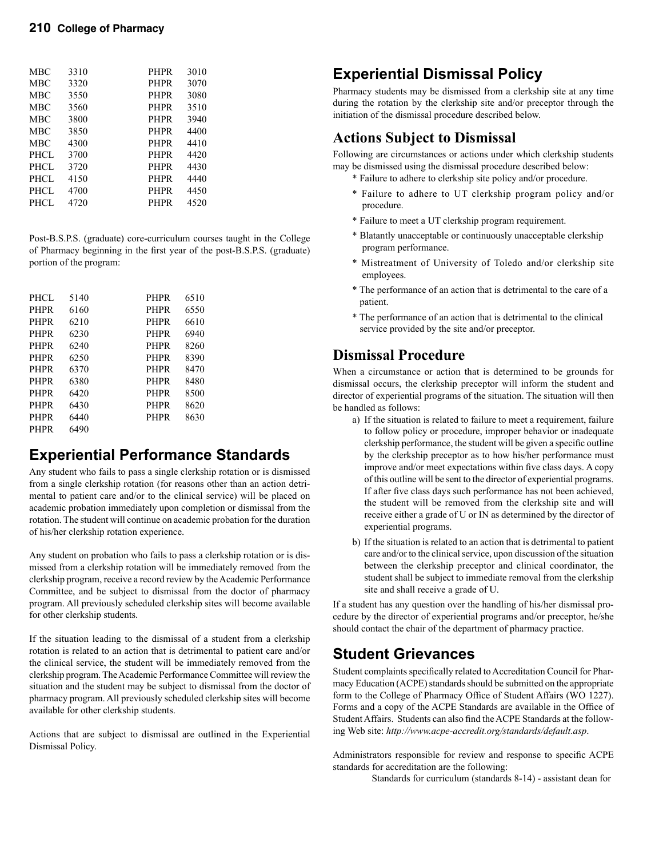| MBC        | 3310 | <b>PHPR</b> | 3010 |
|------------|------|-------------|------|
| MBC        | 3320 | <b>PHPR</b> | 3070 |
| <b>MBC</b> | 3550 | <b>PHPR</b> | 3080 |
| MBC        | 3560 | <b>PHPR</b> | 3510 |
| MBC        | 3800 | <b>PHPR</b> | 3940 |
| MBC        | 3850 | <b>PHPR</b> | 4400 |
| MBC        | 4300 | <b>PHPR</b> | 4410 |
| PHCL       | 3700 | <b>PHPR</b> | 4420 |
| PHCL       | 3720 | <b>PHPR</b> | 4430 |
| PHCL       | 4150 | <b>PHPR</b> | 4440 |
| PHCL       | 4700 | <b>PHPR</b> | 4450 |
| PHCL.      | 4720 | PHPR        | 4520 |
|            |      |             |      |

Post-B.S.P.S. (graduate) core-curriculum courses taught in the College of Pharmacy beginning in the first year of the post-B.S.P.S. (graduate) portion of the program:

| PHCL        | 5140 | <b>PHPR</b> | 6510 |  |
|-------------|------|-------------|------|--|
| <b>PHPR</b> | 6160 | PHPR        | 6550 |  |
| <b>PHPR</b> | 6210 | <b>PHPR</b> | 6610 |  |
| <b>PHPR</b> | 6230 | <b>PHPR</b> | 6940 |  |
| <b>PHPR</b> | 6240 | <b>PHPR</b> | 8260 |  |
| <b>PHPR</b> | 6250 | <b>PHPR</b> | 8390 |  |
| <b>PHPR</b> | 6370 | <b>PHPR</b> | 8470 |  |
| <b>PHPR</b> | 6380 | <b>PHPR</b> | 8480 |  |
| <b>PHPR</b> | 6420 | <b>PHPR</b> | 8500 |  |
| <b>PHPR</b> | 6430 | <b>PHPR</b> | 8620 |  |
| <b>PHPR</b> | 6440 | <b>PHPR</b> | 8630 |  |
| <b>PHPR</b> | 6490 |             |      |  |

# **Experiential Performance Standards**

Any student who fails to pass a single clerkship rotation or is dismissed from a single clerkship rotation (for reasons other than an action detrimental to patient care and/or to the clinical service) will be placed on academic probation immediately upon completion or dismissal from the rotation. The student will continue on academic probation for the duration of his/her clerkship rotation experience.

Any student on probation who fails to pass a clerkship rotation or is dismissed from a clerkship rotation will be immediately removed from the clerkship program, receive a record review by the Academic Performance Committee, and be subject to dismissal from the doctor of pharmacy program. All previously scheduled clerkship sites will become available for other clerkship students.

If the situation leading to the dismissal of a student from a clerkship rotation is related to an action that is detrimental to patient care and/or the clinical service, the student will be immediately removed from the clerkship program. The Academic Performance Committee will review the situation and the student may be subject to dismissal from the doctor of pharmacy program. All previously scheduled clerkship sites will become available for other clerkship students.

Actions that are subject to dismissal are outlined in the Experiential Dismissal Policy.

# **Experiential Dismissal Policy**

Pharmacy students may be dismissed from a clerkship site at any time during the rotation by the clerkship site and/or preceptor through the initiation of the dismissal procedure described below.

## **Actions Subject to Dismissal**

Following are circumstances or actions under which clerkship students may be dismissed using the dismissal procedure described below:

- \* Failure to adhere to clerkship site policy and/or procedure.
- \* Failure to adhere to UT clerkship program policy and/or procedure.
- \* Failure to meet a UT clerkship program requirement.
- \* Blatantly unacceptable or continuously unacceptable clerkship program performance.
- \* Mistreatment of University of Toledo and/or clerkship site employees.
- \* The performance of an action that is detrimental to the care of a patient.
- \* The performance of an action that is detrimental to the clinical service provided by the site and/or preceptor.

## **Dismissal Procedure**

When a circumstance or action that is determined to be grounds for dismissal occurs, the clerkship preceptor will inform the student and director of experiential programs of the situation. The situation will then be handled as follows:

- a) If the situation is related to failure to meet a requirement, failure to follow policy or procedure, improper behavior or inadequate clerkship performance, the student will be given a specific outline by the clerkship preceptor as to how his/her performance must improve and/or meet expectations within five class days. A copy of this outline will be sent to the director of experiential programs. If after five class days such performance has not been achieved, the student will be removed from the clerkship site and will receive either a grade of U or IN as determined by the director of experiential programs.
- b) If the situation is related to an action that is detrimental to patient care and/or to the clinical service, upon discussion of the situation between the clerkship preceptor and clinical coordinator, the student shall be subject to immediate removal from the clerkship site and shall receive a grade of U.

If a student has any question over the handling of his/her dismissal procedure by the director of experiential programs and/or preceptor, he/she should contact the chair of the department of pharmacy practice.

## **Student Grievances**

Student complaints specifically related to Accreditation Council for Pharmacy Education (ACPE) standards should be submitted on the appropriate form to the College of Pharmacy Office of Student Affairs (WO 1227). Forms and a copy of the ACPE Standards are available in the Office of Student Affairs. Students can also find the ACPE Standards at the following Web site: *http://www.acpe-accredit.org/standards/default.asp*.

Administrators responsible for review and response to specific ACPE standards for accreditation are the following:

Standards for curriculum (standards 8-14) - assistant dean for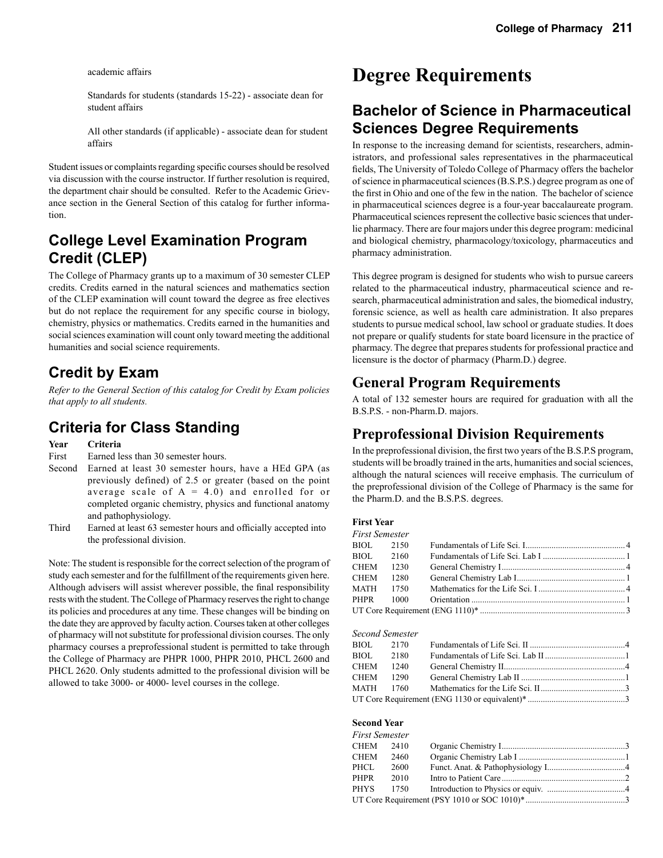academic affairs

 Standards for students (standards 15-22) - associate dean for student affairs

 All other standards (if applicable) - associate dean for student affairs

Student issues or complaints regarding specific courses should be resolved via discussion with the course instructor. If further resolution is required, the department chair should be consulted. Refer to the Academic Grievance section in the General Section of this catalog for further information.

## **College Level Examination Program Credit (CLEP)**

The College of Pharmacy grants up to a maximum of 30 semester CLEP credits. Credits earned in the natural sciences and mathematics section of the CLEP examination will count toward the degree as free electives but do not replace the requirement for any specific course in biology, chemistry, physics or mathematics. Credits earned in the humanities and social sciences examination will count only toward meeting the additional humanities and social science requirements.

## **Credit by Exam**

*Refer to the General Section of this catalog for Credit by Exam policies that apply to all students.*

## **Criteria for Class Standing**

**Year Criteria**

First Earned less than 30 semester hours.

- Second Earned at least 30 semester hours, have a HEd GPA (as previously defined) of 2.5 or greater (based on the point average scale of  $A = 4.0$ ) and enrolled for or completed organic chemistry, physics and functional anatomy and pathophysiology.
- Third Earned at least 63 semester hours and officially accepted into the professional division.

Note: The student is responsible for the correct selection of the program of study each semester and for the fulfillment of the requirements given here. Although advisers will assist wherever possible, the final responsibility rests with the student. The College of Pharmacy reserves the right to change its policies and procedures at any time. These changes will be binding on the date they are approved by faculty action. Courses taken at other colleges of pharmacy will not substitute for professional division courses. The only pharmacy courses a preprofessional student is permitted to take through the College of Pharmacy are PHPR 1000, PHPR 2010, PHCL 2600 and PHCL 2620. Only students admitted to the professional division will be allowed to take 3000- or 4000- level courses in the college.

# **Degree Requirements**

## **Bachelor of Science in Pharmaceutical Sciences Degree Requirements**

In response to the increasing demand for scientists, researchers, administrators, and professional sales representatives in the pharmaceutical fields, The University of Toledo College of Pharmacy offers the bachelor of science in pharmaceutical sciences (B.S.P.S.) degree program as one of the first in Ohio and one of the few in the nation. The bachelor of science in pharmaceutical sciences degree is a four-year baccalaureate program. Pharmaceutical sciences represent the collective basic sciences that underlie pharmacy. There are four majors under this degree program: medicinal and biological chemistry, pharmacology/toxicology, pharmaceutics and pharmacy administration.

This degree program is designed for students who wish to pursue careers related to the pharmaceutical industry, pharmaceutical science and research, pharmaceutical administration and sales, the biomedical industry, forensic science, as well as health care administration. It also prepares students to pursue medical school, law school or graduate studies. It does not prepare or qualify students for state board licensure in the practice of pharmacy. The degree that prepares students for professional practice and licensure is the doctor of pharmacy (Pharm.D.) degree.

## **General Program Requirements**

A total of 132 semester hours are required for graduation with all the B.S.P.S. - non-Pharm.D. majors.

## **Preprofessional Division Requirements**

In the preprofessional division, the first two years of the B.S.P.S program, students will be broadly trained in the arts, humanities and social sciences, although the natural sciences will receive emphasis. The curriculum of the preprofessional division of the College of Pharmacy is the same for the Pharm.D. and the B.S.P.S. degrees.

### **First Year**

| <b>First Semester</b> |      |  |
|-----------------------|------|--|
| BIOL 2150             |      |  |
| BIOL 2160             |      |  |
| CHEM                  | 1230 |  |
| <b>CHEM</b>           | 1280 |  |
| MATH 1750             |      |  |
| PHPR 1000             |      |  |
|                       |      |  |

#### *Second Semester*

| BIOL 2170 |      |  |
|-----------|------|--|
| BIOL      | 2180 |  |
| CHEM 1240 |      |  |
| CHEM 1290 |      |  |
| MATH 1760 |      |  |
|           |      |  |

### **Second Year**

| <b>First Semester</b> |      |  |
|-----------------------|------|--|
| $CHEM$ 2410           |      |  |
| CHEM                  | 2460 |  |
| PHCL                  | 2600 |  |
| <b>PHPR</b>           | 2010 |  |
| PHYS                  | 1750 |  |
|                       |      |  |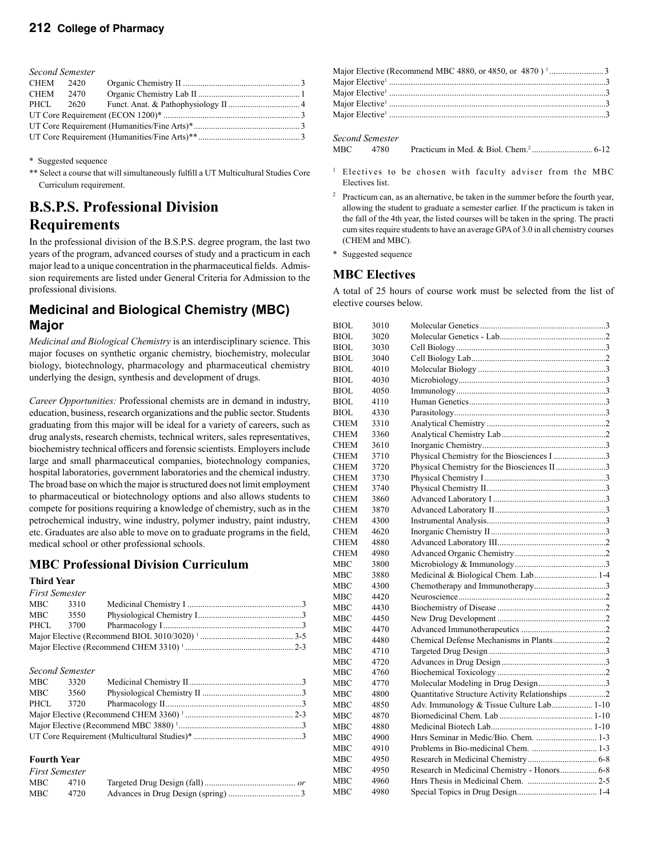| <b>Second Semester</b> |  |  |  |  |  |
|------------------------|--|--|--|--|--|
| CHEM 2420              |  |  |  |  |  |
| CHEM 2470              |  |  |  |  |  |
| PHCL 2620              |  |  |  |  |  |
|                        |  |  |  |  |  |
|                        |  |  |  |  |  |
|                        |  |  |  |  |  |

\* Suggested sequence

\*\* Select a course that will simultaneously fulfill a UT Multicultural Studies Core Curriculum requirement.

## **B.S.P.S. Professional Division Requirements**

In the professional division of the B.S.P.S. degree program, the last two years of the program, advanced courses of study and a practicum in each major lead to a unique concentration in the pharmaceutical fields. Admission requirements are listed under General Criteria for Admission to the professional divisions.

## **Medicinal and Biological Chemistry (MBC) Major**

*Medicinal and Biological Chemistry* is an interdisciplinary science. This major focuses on synthetic organic chemistry, biochemistry, molecular biology, biotechnology, pharmacology and pharmaceutical chemistry underlying the design, synthesis and development of drugs.

*Career Opportunities:* Professional chemists are in demand in industry, education, business, research organizations and the public sector. Students graduating from this major will be ideal for a variety of careers, such as drug analysts, research chemists, technical writers, sales representatives, biochemistry technical officers and forensic scientists. Employers include large and small pharmaceutical companies, biotechnology companies, hospital laboratories, government laboratories and the chemical industry. The broad base on which the major is structured does not limit employment to pharmaceutical or biotechnology options and also allows students to compete for positions requiring a knowledge of chemistry, such as in the petrochemical industry, wine industry, polymer industry, paint industry, etc. Graduates are also able to move on to graduate programs in the field, medical school or other professional schools.

## **MBC Professional Division Curriculum**

### **Third Year**

| <b>First Semester</b> |      |  |
|-----------------------|------|--|
| MBC                   | 3310 |  |
| MBC                   | 3550 |  |
|                       |      |  |
|                       |      |  |
|                       |      |  |

|          | <b>Second Semester</b> |  |
|----------|------------------------|--|
| MBC      | 3320                   |  |
| MBC 3560 |                        |  |
| PHCL     | 3720                   |  |
|          |                        |  |
|          |                        |  |
|          |                        |  |
|          |                        |  |

#### **Fourth Year**

|       | <b>First Semester</b> |  |
|-------|-----------------------|--|
| MBC . | 4710                  |  |
| MBC.  | 4720                  |  |

#### *Second Semester*

| MBC | 4780 |  |
|-----|------|--|
|     |      |  |

- <sup>1</sup> Electives to be chosen with faculty adviser from the MBC Electives list.
- 2 Practicum can, as an alternative, be taken in the summer before the fourth year, allowing the student to graduate a semester earlier. If the practicum is taken in the fall of the 4th year, the listed courses will be taken in the spring. The practi cum sites require students to have an average GPA of 3.0 in all chemistry courses (CHEM and MBC).
- \* Suggested sequence

## **MBC Electives**

A total of 25 hours of course work must be selected from the list of elective courses below.

| BIOL        | 3010 |                                                 |  |
|-------------|------|-------------------------------------------------|--|
| BIOL        | 3020 |                                                 |  |
| BIOL        | 3030 |                                                 |  |
| BIOL        | 3040 |                                                 |  |
| BIOL        | 4010 |                                                 |  |
| BIOL        | 4030 |                                                 |  |
| BIOL        | 4050 |                                                 |  |
| BIOL        | 4110 |                                                 |  |
| BIOL        | 4330 |                                                 |  |
| CHEM        | 3310 |                                                 |  |
| CHEM        | 3360 |                                                 |  |
| CHEM        | 3610 |                                                 |  |
| CHEM        | 3710 | Physical Chemistry for the Biosciences I 3      |  |
| CHEM        | 3720 | Physical Chemistry for the Biosciences II3      |  |
| CHEM        | 3730 |                                                 |  |
| CHEM        | 3740 |                                                 |  |
| CHEM        | 3860 |                                                 |  |
| CHEM        | 3870 |                                                 |  |
| <b>CHEM</b> | 4300 |                                                 |  |
| CHEM        | 4620 |                                                 |  |
| CHEM        | 4880 |                                                 |  |
| CHEM        | 4980 |                                                 |  |
| MBC         | 3800 |                                                 |  |
| мвс         | 3880 | Medicinal & Biological Chem. Lab 1-4            |  |
| MBC         | 4300 |                                                 |  |
| мвс         | 4420 |                                                 |  |
| мвс         | 4430 |                                                 |  |
| мвс         | 4450 |                                                 |  |
| MBC         | 4470 |                                                 |  |
| мвс         | 4480 | Chemical Defense Mechanisms in Plants2          |  |
| мвс         | 4710 |                                                 |  |
| мвс         | 4720 |                                                 |  |
| MBC         | 4760 |                                                 |  |
| мвс         | 4770 | Molecular Modeling in Drug Design3              |  |
| MBC         | 4800 | Quantitative Structure Activity Relationships 2 |  |
| мвс         | 4850 | Adv. Immunology & Tissue Culture Lab 1-10       |  |
| MBC         | 4870 |                                                 |  |
| мвс         | 4880 |                                                 |  |
| MBC         | 4900 | Hnrs Seminar in Medic/Bio. Chem.  1-3           |  |
| мвс         | 4910 |                                                 |  |
| мвс         | 4950 |                                                 |  |
| мвс         | 4950 | Research in Medicinal Chemistry - Honors 6-8    |  |
| мвс         | 4960 |                                                 |  |
| MBC         | 4980 |                                                 |  |
|             |      |                                                 |  |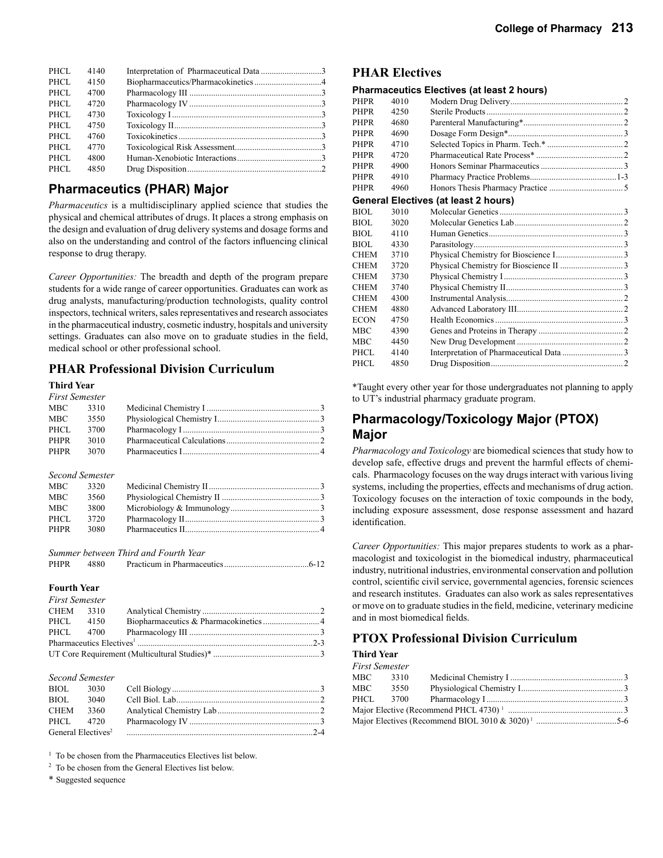| PHCL  | 4140 |  |
|-------|------|--|
| PHCL  | 4150 |  |
| PHCL  | 4700 |  |
| PHCL  | 4720 |  |
| PHCL  | 4730 |  |
| PHCL  | 4750 |  |
| PHCL. | 4760 |  |
| PHCL  | 4770 |  |
| PHCL  | 4800 |  |
| PHCL  | 4850 |  |
|       |      |  |

## **Pharmaceutics (PHAR) Major**

*Pharmaceutics* is a multidisciplinary applied science that studies the physical and chemical attributes of drugs. It places a strong emphasis on the design and evaluation of drug delivery systems and dosage forms and also on the understanding and control of the factors influencing clinical response to drug therapy.

*Career Opportunities:* The breadth and depth of the program prepare students for a wide range of career opportunities. Graduates can work as drug analysts, manufacturing/production technologists, quality control inspectors, technical writers, sales representatives and research associates in the pharmaceutical industry, cosmetic industry, hospitals and university settings. Graduates can also move on to graduate studies in the field, medical school or other professional school.

## **PHAR Professional Division Curriculum**

#### **Third Year**

| <b>First Semester</b> |      |  |
|-----------------------|------|--|
| MBC .                 | 3310 |  |
| MBC .                 | 3550 |  |
| PHCL                  | 3700 |  |
| <b>PHPR</b>           | 3010 |  |
| PHPR                  | 3070 |  |

|             | <b>Second Semester</b> |  |
|-------------|------------------------|--|
| MBC         | 3320                   |  |
| MBC         | 3560                   |  |
| MBC         | 3800                   |  |
| PHCL        | 3720                   |  |
| <b>PHPR</b> | 3080                   |  |

|             |      | Summer between Third and Fourth Year |  |
|-------------|------|--------------------------------------|--|
| <b>PHPR</b> | 4880 |                                      |  |

#### **Fourth Year**

| <b>First Semester</b> |           |  |
|-----------------------|-----------|--|
| CHEM 3310             |           |  |
|                       | PHCL 4150 |  |
|                       |           |  |
|                       |           |  |
|                       |           |  |

#### *Second Semester*

| BIOL                           | 3030 |  |
|--------------------------------|------|--|
| BIOL.                          | 3040 |  |
| <b>CHEM</b>                    | 3360 |  |
| PHCL 4720                      |      |  |
| General Electives <sup>2</sup> |      |  |

<sup>1</sup> To be chosen from the Pharmaceutics Electives list below.

2 To be chosen from the General Electives list below.

\* Suggested sequence

### **PHAR Electives**

#### **Pharmaceutics Electives (at least 2 hours)**

| <b>PHPR</b> | 4010 |                                      |  |
|-------------|------|--------------------------------------|--|
| <b>PHPR</b> | 4250 |                                      |  |
| <b>PHPR</b> | 4680 |                                      |  |
| PHPR        | 4690 |                                      |  |
| PHPR        | 4710 |                                      |  |
| PHPR        | 4720 |                                      |  |
| PHPR        | 4900 |                                      |  |
| PHPR        | 4910 |                                      |  |
| PHPR        | 4960 |                                      |  |
|             |      | General Electives (at least 2 hours) |  |
| BIOL        | 3010 |                                      |  |
| BIOL        | 3020 |                                      |  |
| BIOL        | 4110 |                                      |  |
| BIOL        | 4330 |                                      |  |
| CHEM        | 3710 |                                      |  |
| CHEM        | 3720 |                                      |  |
| CHEM        | 3730 |                                      |  |
| CHEM        | 3740 |                                      |  |
| CHEM        | 4300 |                                      |  |
| CHEM        | 4880 |                                      |  |
| ECON        | 4750 |                                      |  |
| MBC         | 4390 |                                      |  |
| MBC         | 4450 |                                      |  |
| PHCL.       | 4140 |                                      |  |
| PHCL        | 4850 |                                      |  |
|             |      |                                      |  |

\*Taught every other year for those undergraduates not planning to apply to UT's industrial pharmacy graduate program.

## **Pharmacology/Toxicology Major (PTOX) Major**

*Pharmacology and Toxicology* are biomedical sciences that study how to develop safe, effective drugs and prevent the harmful effects of chemicals. Pharmacology focuses on the way drugs interact with various living systems, including the properties, effects and mechanisms of drug action. Toxicology focuses on the interaction of toxic compounds in the body, including exposure assessment, dose response assessment and hazard identification.

*Career Opportunities:* This major prepares students to work as a pharmacologist and toxicologist in the biomedical industry, pharmaceutical industry, nutritional industries, environmental conservation and pollution control, scientific civil service, governmental agencies, forensic sciences and research institutes. Graduates can also work as sales representatives or move on to graduate studies in the field, medicine, veterinary medicine and in most biomedical fields.

## **PTOX Professional Division Curriculum**

### **Third Year**

| First Semester |          |  |
|----------------|----------|--|
| MBC 3310       |          |  |
|                | MBC 3550 |  |
|                |          |  |
|                |          |  |
|                |          |  |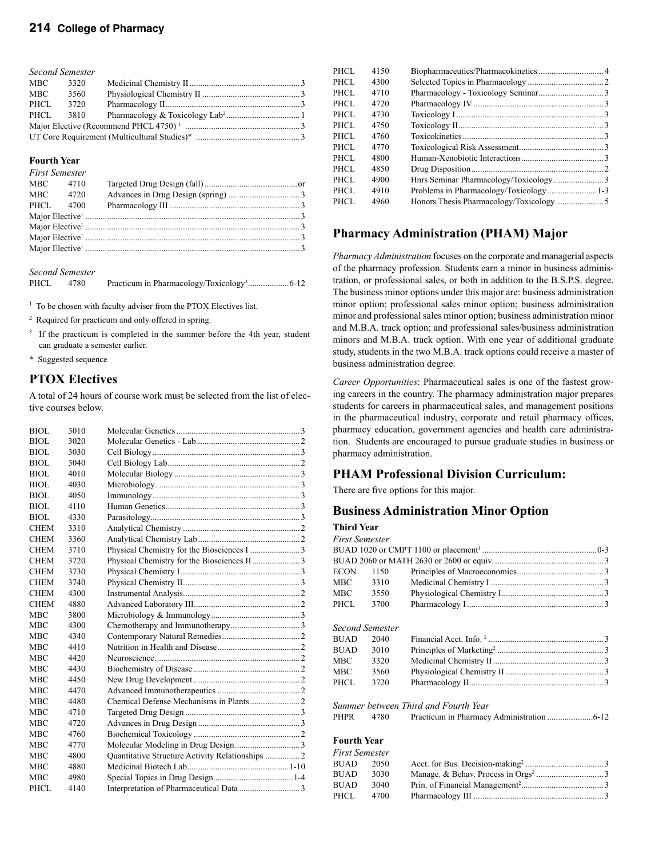| <b>Second Semester</b> |      |  |  |  |  |
|------------------------|------|--|--|--|--|
| MBC                    | 3320 |  |  |  |  |
| MBC                    | 3560 |  |  |  |  |
| PHCL                   | 3720 |  |  |  |  |
| PHCL                   | 3810 |  |  |  |  |
|                        |      |  |  |  |  |
|                        |      |  |  |  |  |

#### **Fourth Year**

| <b>First Semester</b> |      |  |  |
|-----------------------|------|--|--|
| MBC 4710              |      |  |  |
| MBC 4720              |      |  |  |
| PHCL                  | 4700 |  |  |
|                       |      |  |  |
|                       |      |  |  |
|                       |      |  |  |
|                       |      |  |  |

*Second Semester*

PHCL 4780 Practicum in Pharmacology/Toxicology3 ...................6-12

<sup>1</sup> To be chosen with faculty adviser from the PTOX Electives list.

2 Required for practicum and only offered in spring.

<sup>3</sup> If the practicum is completed in the summer before the 4th year, student can graduate a semester earlier.

\* Suggested sequence

## **PTOX Electives**

A total of 24 hours of course work must be selected from the list of elective courses below.

| BIOL        | 3010 |                                                  |  |
|-------------|------|--------------------------------------------------|--|
| <b>BIOL</b> | 3020 |                                                  |  |
| BIOL        | 3030 |                                                  |  |
| BIOL        | 3040 |                                                  |  |
| BIOL.       | 4010 |                                                  |  |
| BIOL        | 4030 |                                                  |  |
| BIOL        | 4050 |                                                  |  |
| BIOL        | 4110 |                                                  |  |
| BIOL        | 4330 |                                                  |  |
| <b>CHEM</b> | 3310 |                                                  |  |
| <b>CHEM</b> | 3360 |                                                  |  |
| <b>CHEM</b> | 3710 |                                                  |  |
| <b>CHEM</b> | 3720 |                                                  |  |
| <b>CHEM</b> | 3730 |                                                  |  |
| <b>CHEM</b> | 3740 |                                                  |  |
| <b>CHEM</b> | 4300 |                                                  |  |
| <b>CHEM</b> | 4880 |                                                  |  |
| MBC         | 3800 |                                                  |  |
| MBC         | 4300 |                                                  |  |
| <b>MBC</b>  | 4340 |                                                  |  |
| <b>MBC</b>  | 4410 |                                                  |  |
| <b>MBC</b>  | 4420 |                                                  |  |
| MBC         | 4430 |                                                  |  |
| <b>MBC</b>  | 4450 |                                                  |  |
| <b>MBC</b>  | 4470 |                                                  |  |
| <b>MBC</b>  | 4480 |                                                  |  |
| MBC         | 4710 |                                                  |  |
| MBC         | 4720 |                                                  |  |
| <b>MBC</b>  | 4760 |                                                  |  |
| <b>MBC</b>  | 4770 |                                                  |  |
| <b>MBC</b>  | 4800 | Quantitative Structure Activity Relationships  2 |  |
| <b>MBC</b>  | 4880 |                                                  |  |
| <b>MBC</b>  | 4980 |                                                  |  |
| PHCL        | 4140 |                                                  |  |
|             |      |                                                  |  |

| PHCL. | 4150 |  |
|-------|------|--|
| PHCL  | 4300 |  |
| PHCL  | 4710 |  |
| PHCL. | 4720 |  |
| PHCL  | 4730 |  |
| PHCL  | 4750 |  |
| PHCL. | 4760 |  |
| PHCL. | 4770 |  |
| PHCL  | 4800 |  |
| PHCL. | 4850 |  |
| PHCL  | 4900 |  |
| PHCL. | 4910 |  |
| PHCL  | 4960 |  |
|       |      |  |

## **Pharmacy Administration (PHAM) Major**

*Pharmacy Administration* focuses on the corporate and managerial aspects of the pharmacy profession. Students earn a minor in business administration, or professional sales, or both in addition to the B.S.P.S. degree. The business minor options under this major are: business administration minor option; professional sales minor option; business administration minor and professional sales minor option; business administration minor and M.B.A. track option; and professional sales/business administration minors and M.B.A. track option. With one year of additional graduate study, students in the two M.B.A. track options could receive a master of business administration degree.

*Career Opportunities*: Pharmaceutical sales is one of the fastest growing careers in the country. The pharmacy administration major prepares students for careers in pharmaceutical sales, and management positions in the pharmaceutical industry, corporate and retail pharmacy offices, pharmacy education, government agencies and health care administration. Students are encouraged to pursue graduate studies in business or pharmacy administration.

## **PHAM Professional Division Curriculum:**

There are five options for this major.

## **Business Administration Minor Option**

### **Third Year**

| <b>First Semester</b> |                 |                                      |  |  |
|-----------------------|-----------------|--------------------------------------|--|--|
|                       |                 |                                      |  |  |
|                       |                 |                                      |  |  |
| <b>ECON</b>           | 1150            |                                      |  |  |
| MBC .                 | 3310            |                                      |  |  |
| MBC.                  | 3550            |                                      |  |  |
| PHCL                  | 3700            |                                      |  |  |
|                       | Second Semester |                                      |  |  |
| <b>BUAD</b>           | 2040            |                                      |  |  |
| <b>BUAD</b>           | 3010            |                                      |  |  |
| MBC                   | 3320            |                                      |  |  |
| <b>MBC</b>            | 3560            |                                      |  |  |
| PHCL                  | 3720            |                                      |  |  |
|                       |                 | Summer between Third and Fourth Year |  |  |
| <b>PHPR</b>           | 4780            |                                      |  |  |
| <b>Fourth Year</b>    |                 |                                      |  |  |
| <b>First Semester</b> |                 |                                      |  |  |
| <b>BUAD</b>           | 2050            |                                      |  |  |
| <b>BUAD</b>           | 3030            |                                      |  |  |
| <b>BUAD</b>           | 3040            |                                      |  |  |
| PHCL                  | 4700            |                                      |  |  |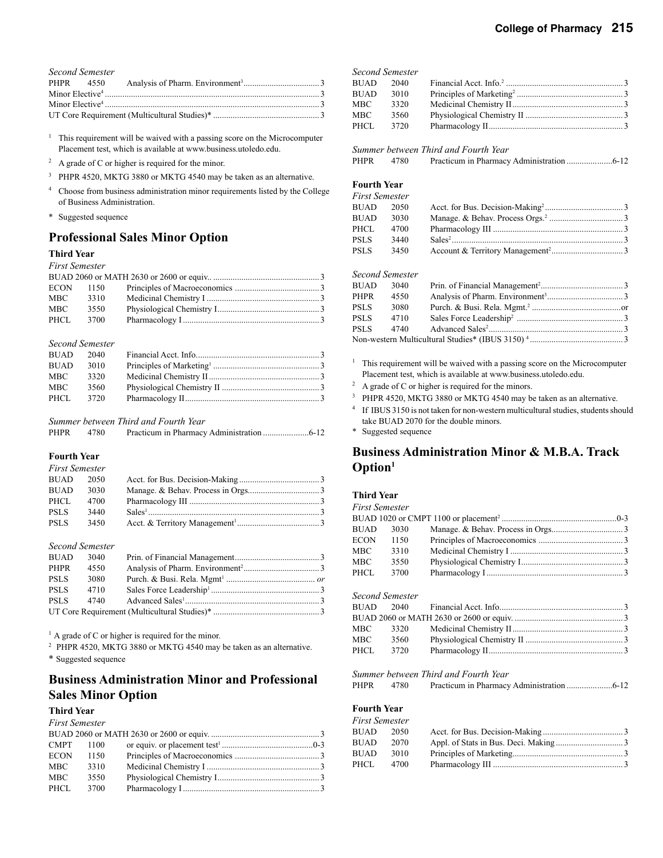| Second Semester |  |
|-----------------|--|
|                 |  |
|                 |  |
|                 |  |
|                 |  |

<sup>1</sup> This requirement will be waived with a passing score on the Microcomputer Placement test, which is available at www.business.utoledo.edu.

- $^{2}$  A grade of C or higher is required for the minor.
- <sup>3</sup> PHPR 4520, MKTG 3880 or MKTG 4540 may be taken as an alternative.
- 4 Choose from business administration minor requirements listed by the College of Business Administration.
- \* Suggested sequence

## **Professional Sales Minor Option**

### **Third Year**

#### *First Semester*

| <b>ECON</b> | - 1150 - |  |
|-------------|----------|--|
| MBC         | 3310     |  |
| MBC         | 3550     |  |
| PHCL        | 3700     |  |

#### *Second Semester*

| <b>BUAD</b> | 2040 |  |
|-------------|------|--|
| <b>BUAD</b> | 3010 |  |
| MBC.        | 3320 |  |
| MBC         | 3560 |  |
| PHCL        | 3720 |  |

#### *Summer between Third and Fourth Year*

| <b>PHPR</b> | 4780 |  |
|-------------|------|--|
|             |      |  |

#### **Fourth Year**

| <b>First Semester</b> |      |  |
|-----------------------|------|--|
| <b>BUAD</b> 2050      |      |  |
| BUAD                  | 3030 |  |
| PHCL                  | 4700 |  |
| <b>PSLS</b>           | 3440 |  |
| <b>PSLS</b>           | 3450 |  |

#### *Second Semester*

| <b>BUAD</b> | 3040 |  |
|-------------|------|--|
| PHPR        | 4550 |  |
| PSLS        | 3080 |  |
| <b>PSLS</b> | 4710 |  |
| <b>PSLS</b> | 4740 |  |
|             |      |  |

<sup>1</sup> A grade of C or higher is required for the minor.

<sup>2</sup> PHPR 4520, MKTG 3880 or MKTG 4540 may be taken as an alternative.

\* Suggested sequence

## **Business Administration Minor and Professional Sales Minor Option**

#### **Third Year**

#### *First Semester*

| CMPT 1100   |      |  |
|-------------|------|--|
| <b>ECON</b> | 1150 |  |
| MBC         | 3310 |  |
| MBC         | 3550 |  |
| PHCL        | 3700 |  |
|             |      |  |

| <b>Second Semester</b> |      |  |
|------------------------|------|--|
| <b>BUAD</b>            | 2040 |  |
| <b>BUAD</b>            | 3010 |  |
| MBC                    | 3320 |  |
| MBC                    | 3560 |  |
| PHCL                   | 3720 |  |
|                        |      |  |

#### *Summer between Third and Fourth Year*

| PHPR<br>4780 |  |
|--------------|--|
|--------------|--|

#### **Fourth Year** *First Semester*

| i u si ochicsici |       |  |
|------------------|-------|--|
| BUAD             | -2050 |  |
| BUAD             | 3030  |  |
| PHCL             | 4700  |  |
| PSLS             | 3440  |  |
| <b>PSLS</b>      | 3450  |  |
|                  |       |  |

| Second Semester |      |  |
|-----------------|------|--|
| BUAD 3040       |      |  |
| PHPR            | 4550 |  |
| PSLS            | 3080 |  |
| <b>PSLS</b>     | 4710 |  |
| <b>PSLS</b>     | 4740 |  |
|                 |      |  |

- <sup>1</sup> This requirement will be waived with a passing score on the Microcomputer Placement test, which is available at www.business.utoledo.edu.
- $2$  A grade of C or higher is required for the minors.
- <sup>3</sup> PHPR 4520, MKTG 3880 or MKTG 4540 may be taken as an alternative.
- <sup>4</sup> If IBUS 3150 is not taken for non-western multicultural studies, students should take BUAD 2070 for the double minors.
- \* Suggested sequence

## **Business Administration Minor & M.B.A. Track Option1**

#### **Third Year**

| <b>First Semester</b> |                 |                                      |  |
|-----------------------|-----------------|--------------------------------------|--|
|                       |                 |                                      |  |
| <b>BUAD</b>           | 3030            |                                      |  |
| <b>ECON</b>           | 1150            |                                      |  |
| <b>MBC</b>            | 3310            |                                      |  |
| MBC —                 | 3550            |                                      |  |
| PHCL                  | 3700            |                                      |  |
|                       | Second Semester |                                      |  |
| <b>BUAD</b>           | 2040            |                                      |  |
|                       |                 |                                      |  |
| <b>MBC</b>            | 3320            |                                      |  |
| MBC.                  | 3560            |                                      |  |
| PHCL.                 | 3720            |                                      |  |
|                       |                 | Summer between Third and Fourth Year |  |
| <b>PHPR</b>           | 4780            |                                      |  |
| <b>Fourth Year</b>    |                 |                                      |  |
| <b>First Semester</b> |                 |                                      |  |
| <b>BUAD</b>           | 2050            |                                      |  |
| BUAD                  | 2070            |                                      |  |
| <b>BUAD</b>           | 3010            |                                      |  |
| PHCL                  | 4700            |                                      |  |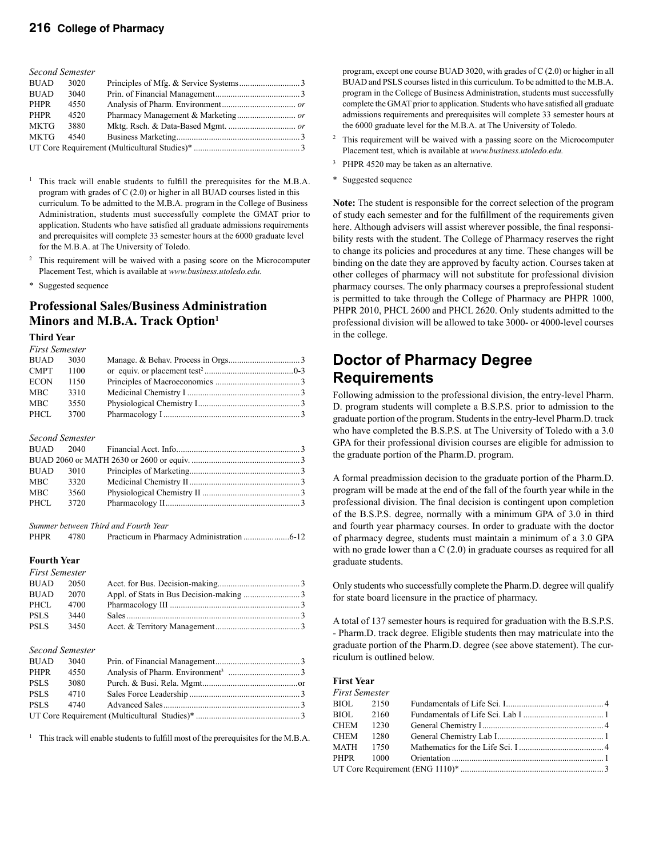| Second Semester |      |  |
|-----------------|------|--|
| <b>BUAD</b>     | 3020 |  |
| <b>BUAD</b>     | 3040 |  |
| PHPR            | 4550 |  |
| PHPR            | 4520 |  |
| <b>MKTG</b>     | 3880 |  |
| <b>MKTG</b>     | 4540 |  |
|                 |      |  |

- This track will enable students to fulfill the prerequisites for the M.B.A. program with grades of C (2.0) or higher in all BUAD courses listed in this curriculum. To be admitted to the M.B.A. program in the College of Business Administration, students must successfully complete the GMAT prior to application. Students who have satisfied all graduate admissions requirements and prerequisites will complete 33 semester hours at the 6000 graduate level for the M.B.A. at The University of Toledo.
- 2 This requirement will be waived with a pasing score on the Microcomputer Placement Test, which is available at *www.business.utoledo.edu.*
- \* Suggested sequence

## **Professional Sales/Business Administration Minors and M.B.A. Track Option1**

#### **Third Year** *First Semester*

| r irst Semester |      |  |
|-----------------|------|--|
| <b>BUAD</b>     | 3030 |  |
| <b>CMPT</b>     | 1100 |  |
| <b>ECON</b>     | 1150 |  |
| MBC.            | 3310 |  |
| MBC.            | 3550 |  |
| PHCL            | 3700 |  |
|                 |      |  |

#### *Second Semester*

| BUAD | 3010 |  |
|------|------|--|
| MBC  | 3320 |  |
| MBC  | 3560 |  |
| PHCL | 3720 |  |
|      |      |  |

|             |      | Summer between Third and Fourth Year |  |
|-------------|------|--------------------------------------|--|
| <b>PHPR</b> | 4780 |                                      |  |

#### **Fourth Year** *First Semester*

| r irst semester |       |  |
|-----------------|-------|--|
| <b>BUAD</b>     | -2050 |  |
| <b>BUAD</b>     | 2070  |  |
| PHCL            | 4700  |  |
| <b>PSLS</b>     | 3440  |  |
| <b>PSLS</b>     | 3450  |  |
|                 |       |  |

### *Second Semester*

| <b>BUAD</b> | 3040 |  |
|-------------|------|--|
| PHPR        | 4550 |  |
| <b>PSLS</b> | 3080 |  |
| <b>PSLS</b> | 4710 |  |
| <b>PSLS</b> | 4740 |  |
|             |      |  |

<sup>1</sup> This track will enable students to fulfill most of the prerequisites for the M.B.A.

 program, except one course BUAD 3020, with grades of C (2.0) or higher in all BUAD and PSLS courses listed in this curriculum. To be admitted to the M.B.A. program in the College of Business Administration, students must successfully complete the GMAT prior to application. Students who have satisfied all graduate admissions requirements and prerequisites will complete 33 semester hours at the 6000 graduate level for the M.B.A. at The University of Toledo.

- 2 This requirement will be waived with a passing score on the Microcomputer Placement test, which is available at *www.business.utoledo.edu.*
- <sup>3</sup> PHPR 4520 may be taken as an alternative.
- \* Suggested sequence

**Note:** The student is responsible for the correct selection of the program of study each semester and for the fulfillment of the requirements given here. Although advisers will assist wherever possible, the final responsibility rests with the student. The College of Pharmacy reserves the right to change its policies and procedures at any time. These changes will be binding on the date they are approved by faculty action. Courses taken at other colleges of pharmacy will not substitute for professional division pharmacy courses. The only pharmacy courses a preprofessional student is permitted to take through the College of Pharmacy are PHPR 1000, PHPR 2010, PHCL 2600 and PHCL 2620. Only students admitted to the professional division will be allowed to take 3000- or 4000-level courses in the college.

## **Doctor of Pharmacy Degree Requirements**

Following admission to the professional division, the entry-level Pharm. D. program students will complete a B.S.P.S. prior to admission to the graduate portion of the program. Students in the entry-level Pharm.D. track who have completed the B.S.P.S. at The University of Toledo with a 3.0 GPA for their professional division courses are eligible for admission to the graduate portion of the Pharm.D. program.

A formal preadmission decision to the graduate portion of the Pharm.D. program will be made at the end of the fall of the fourth year while in the professional division. The final decision is contingent upon completion of the B.S.P.S. degree, normally with a minimum GPA of 3.0 in third and fourth year pharmacy courses. In order to graduate with the doctor of pharmacy degree, students must maintain a minimum of a 3.0 GPA with no grade lower than a C (2.0) in graduate courses as required for all graduate students.

Only students who successfully complete the Pharm.D. degree will qualify for state board licensure in the practice of pharmacy.

A total of 137 semester hours is required for graduation with the B.S.P.S. - Pharm.D. track degree. Eligible students then may matriculate into the graduate portion of the Pharm.D. degree (see above statement). The curriculum is outlined below.

### **First Year**

| First Semester |      |  |
|----------------|------|--|
| BIOL 2150      |      |  |
| BIOL 2160      |      |  |
| CHEM 1230      |      |  |
| CHEM           | 1280 |  |
| MATH 1750      |      |  |
|                |      |  |
|                |      |  |
|                |      |  |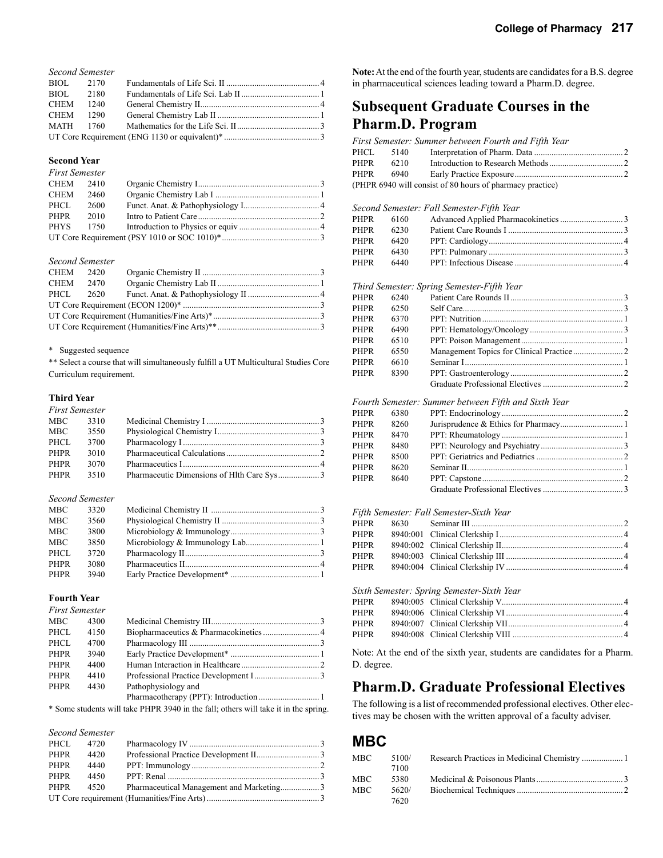| <b>Second Semester</b> |  |  |  |  |  |
|------------------------|--|--|--|--|--|
| BIOL 2170              |  |  |  |  |  |
| BIOL 2180              |  |  |  |  |  |
| CHEM 1240              |  |  |  |  |  |
| CHEM 1290              |  |  |  |  |  |
| MATH 1760              |  |  |  |  |  |
|                        |  |  |  |  |  |

#### **Second Year**

| <b>First Semester</b> |      |  |
|-----------------------|------|--|
| CHEM 2410             |      |  |
| CHEM                  | 2460 |  |
| PHCL                  | 2600 |  |
| PHPR                  | 2010 |  |
| PHYS                  | 1750 |  |
|                       |      |  |

#### *Second Semester*

| CHEM 2420 |      |  |
|-----------|------|--|
| CHEM      | 2470 |  |
| PHCL      | 2620 |  |
|           |      |  |
|           |      |  |
|           |      |  |

\* Suggested sequence

\*\* Select a course that will simultaneously fulfill a UT Multicultural Studies Core Curriculum requirement.

#### **Third Year**

| <b>First Semester</b> |      |  |
|-----------------------|------|--|
| MBC                   | 3310 |  |
| MBC                   | 3550 |  |
| PHCL                  | 3700 |  |
| PHPR                  | 3010 |  |
| PHPR                  | 3070 |  |
| PHPR                  | 3510 |  |

#### *Second Semester*

| <b>MBC</b> | 3320 |  |
|------------|------|--|
| MBC        | 3560 |  |
| <b>MBC</b> | 3800 |  |
| MBC        | 3850 |  |
| PHCL       | 3720 |  |
| PHPR       | 3080 |  |
| PHPR       | 3940 |  |

#### **Fourth Year**

| <b>First Semester</b> |      |                                                                                     |  |
|-----------------------|------|-------------------------------------------------------------------------------------|--|
| <b>MBC</b>            | 4300 |                                                                                     |  |
| PHCL                  | 4150 |                                                                                     |  |
| PHCL                  | 4700 |                                                                                     |  |
| <b>PHPR</b>           | 3940 |                                                                                     |  |
| <b>PHPR</b>           | 4400 |                                                                                     |  |
| <b>PHPR</b>           | 4410 |                                                                                     |  |
| <b>PHPR</b>           | 4430 | Pathophysiology and                                                                 |  |
|                       |      |                                                                                     |  |
|                       |      | * Some students will take PHPR 3940 in the fall; others will take it in the spring. |  |

| <b>Second Semester</b> |      |                                          |  |
|------------------------|------|------------------------------------------|--|
| PHCL 4720              |      |                                          |  |
| PHPR                   | 4420 |                                          |  |
| PHPR                   | 4440 |                                          |  |
| PHPR                   | 4450 |                                          |  |
| PHPR                   | 4520 | Pharmaceutical Management and Marketing3 |  |
|                        |      |                                          |  |

**Note:** At the end of the fourth year, students are candidates for a B.S. degree in pharmaceutical sciences leading toward a Pharm.D. degree.

## **Subsequent Graduate Courses in the Pharm.D. Program**

|      |      | First Semester: Summer between Fourth and Fifth Year      |  |
|------|------|-----------------------------------------------------------|--|
| PHCL | 5140 |                                                           |  |
| PHPR | 6210 |                                                           |  |
| PHPR | 6940 |                                                           |  |
|      |      | (PHPR 6940 will consist of 80 hours of pharmacy practice) |  |

#### *Second Semester: Fall Semester-Fifth Year*

| PHPR | 6160 |  |
|------|------|--|
| PHPR | 6230 |  |
| PHPR | 6420 |  |
| PHPR | 6430 |  |
| PHPR | 6440 |  |

#### *Third Semester: Spring Semester-Fifth Year*

| PHPR | 6240 |  |
|------|------|--|
| PHPR | 6250 |  |
| PHPR | 6370 |  |
| PHPR | 6490 |  |
| PHPR | 6510 |  |
| PHPR | 6550 |  |
| PHPR | 6610 |  |
| PHPR | 8390 |  |
|      |      |  |
|      |      |  |

#### *Fourth Semester: Summer between Fifth and Sixth Year*

| PHPR | 6380 |  |
|------|------|--|
| PHPR | 8260 |  |
| PHPR | 8470 |  |
| PHPR | 8480 |  |
| PHPR | 8500 |  |
| PHPR | 8620 |  |
| PHPR | 8640 |  |
|      |      |  |
|      |      |  |

#### *Fifth Semester: Fall Semester-Sixth Year*

| PHPR |                                            |  |
|------|--------------------------------------------|--|
| PHPR |                                            |  |
|      |                                            |  |
|      |                                            |  |
|      | Sixth Semester: Spring Semester-Sixth Year |  |
|      |                                            |  |
|      |                                            |  |

Note: At the end of the sixth year, students are candidates for a Pharm. D. degree.

## **Pharm.D. Graduate Professional Electives**

The following is a list of recommended professional electives. Other electives may be chosen with the written approval of a faculty adviser.

## **MBC**

| MBC | 5100/<br>7100 |  |
|-----|---------------|--|
| MBC | 5380          |  |
| MBC | 5620/         |  |
|     | 7620          |  |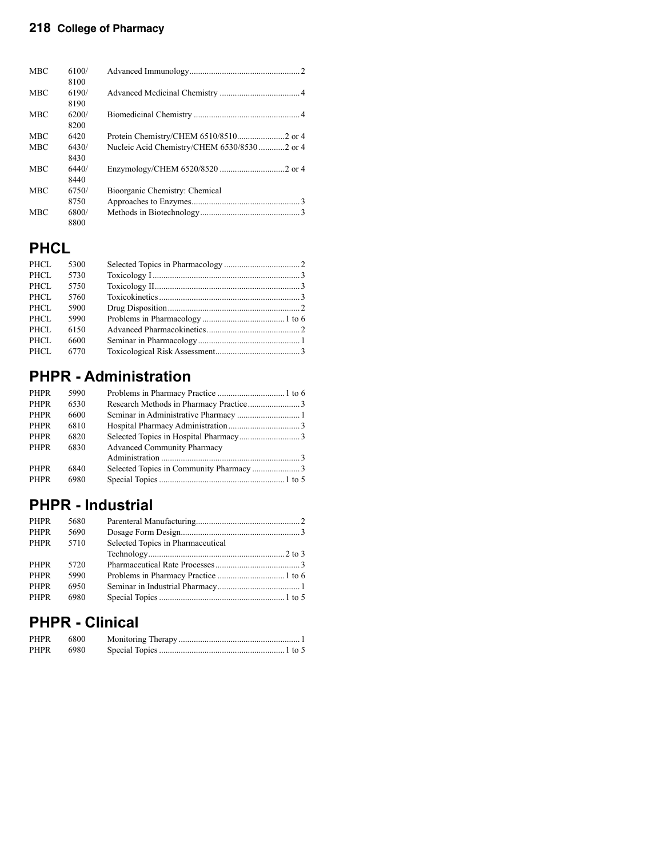| <b>MBC</b> | 6100/<br>8100 |                                              |
|------------|---------------|----------------------------------------------|
| <b>MBC</b> | 6190/<br>8190 |                                              |
| <b>MBC</b> | 6200/<br>8200 |                                              |
| <b>MBC</b> | 6420          |                                              |
| <b>MBC</b> | 6430/<br>8430 | Nucleic Acid Chemistry/CHEM 6530/8530 2 or 4 |
| <b>MBC</b> | 6440/<br>8440 |                                              |
| <b>MBC</b> | 6750/         | Bioorganic Chemistry: Chemical               |
|            | 8750          |                                              |
| <b>MBC</b> | 6800/<br>8800 |                                              |

# **PHCL**

| PHCL | 5300 |  |
|------|------|--|
| PHCL | 5730 |  |
| PHCL | 5750 |  |
| PHCL | 5760 |  |
| PHCL | 5900 |  |
| PHCL | 5990 |  |
| PHCL | 6150 |  |
| PHCL | 6600 |  |
| PHCL | 6770 |  |

# **PHPR - Administration**

| <b>PHPR</b> | 5990 |                                    |  |
|-------------|------|------------------------------------|--|
| <b>PHPR</b> | 6530 |                                    |  |
| <b>PHPR</b> | 6600 |                                    |  |
| <b>PHPR</b> | 6810 |                                    |  |
| <b>PHPR</b> | 6820 |                                    |  |
| <b>PHPR</b> | 6830 | <b>Advanced Community Pharmacy</b> |  |
|             |      |                                    |  |
| <b>PHPR</b> | 6840 |                                    |  |
| <b>PHPR</b> | 6980 |                                    |  |
|             |      |                                    |  |

# **PHPR - Industrial**

| <b>PHPR</b> | 5680 |                                   |  |
|-------------|------|-----------------------------------|--|
| <b>PHPR</b> | 5690 |                                   |  |
| <b>PHPR</b> | 5710 | Selected Topics in Pharmaceutical |  |
|             |      |                                   |  |
| <b>PHPR</b> | 5720 |                                   |  |
| <b>PHPR</b> | 5990 |                                   |  |
| <b>PHPR</b> | 6950 |                                   |  |
| <b>PHPR</b> | 6980 |                                   |  |
|             |      |                                   |  |

# **PHPR - Clinical**

| PHPR      | - 6800 |  |
|-----------|--------|--|
| PHPR 6980 |        |  |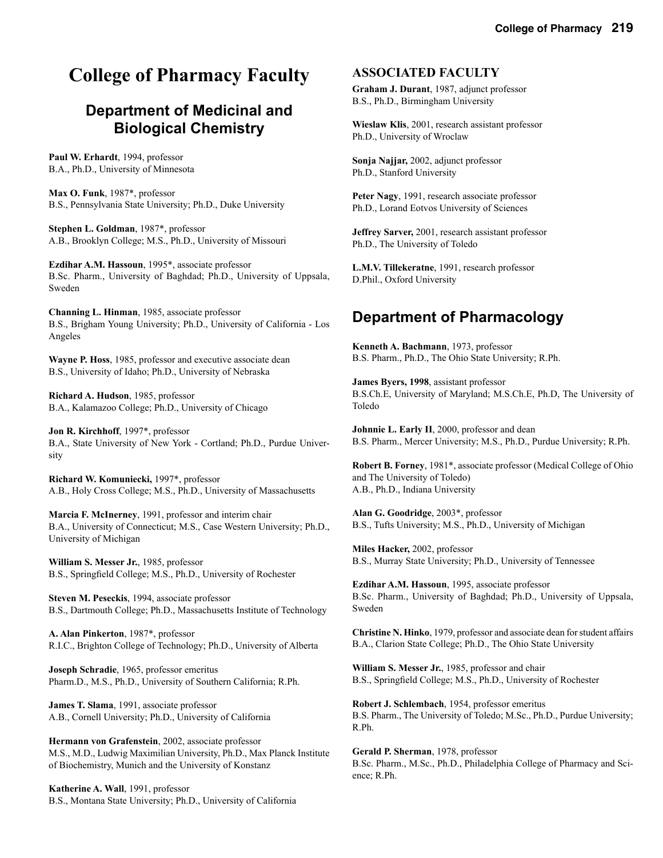# **College of Pharmacy Faculty**

# **Department of Medicinal and Biological Chemistry**

**Paul W. Erhardt**, 1994, professor B.A., Ph.D., University of Minnesota

**Max O. Funk**, 1987\*, professor B.S., Pennsylvania State University; Ph.D., Duke University

**Stephen L. Goldman**, 1987\*, professor A.B., Brooklyn College; M.S., Ph.D., University of Missouri

**Ezdihar A.M. Hassoun**, 1995\*, associate professor B.Sc. Pharm., University of Baghdad; Ph.D., University of Uppsala, Sweden

**Channing L. Hinman**, 1985, associate professor B.S., Brigham Young University; Ph.D., University of California - Los Angeles

**Wayne P. Hoss**, 1985, professor and executive associate dean B.S., University of Idaho; Ph.D., University of Nebraska

**Richard A. Hudson**, 1985, professor B.A., Kalamazoo College; Ph.D., University of Chicago

**Jon R. Kirchhoff**, 1997\*, professor B.A., State University of New York - Cortland; Ph.D., Purdue University

**Richard W. Komuniecki,** 1997\*, professor A.B., Holy Cross College; M.S., Ph.D., University of Massachusetts

**Marcia F. McInerney**, 1991, professor and interim chair B.A., University of Connecticut; M.S., Case Western University; Ph.D., University of Michigan

**William S. Messer Jr.**, 1985, professor B.S., Springfield College; M.S., Ph.D., University of Rochester

**Steven M. Peseckis**, 1994, associate professor B.S., Dartmouth College; Ph.D., Massachusetts Institute of Technology

**A. Alan Pinkerton**, 1987\*, professor R.I.C., Brighton College of Technology; Ph.D., University of Alberta

**Joseph Schradie**, 1965, professor emeritus Pharm.D., M.S., Ph.D., University of Southern California; R.Ph.

**James T. Slama**, 1991, associate professor A.B., Cornell University; Ph.D., University of California

**Hermann von Grafenstein**, 2002, associate professor M.S., M.D., Ludwig Maximilian University, Ph.D., Max Planck Institute of Biochemistry, Munich and the University of Konstanz

**Katherine A. Wall**, 1991, professor B.S., Montana State University; Ph.D., University of California

## **ASSOCIATED FACULTY**

**Graham J. Durant**, 1987, adjunct professor B.S., Ph.D., Birmingham University

**Wieslaw Klis**, 2001, research assistant professor Ph.D., University of Wroclaw

**Sonja Najjar,** 2002, adjunct professor Ph.D., Stanford University

**Peter Nagy**, 1991, research associate professor Ph.D., Lorand Eotvos University of Sciences

**Jeffrey Sarver,** 2001, research assistant professor Ph.D., The University of Toledo

**L.M.V. Tillekeratne**, 1991, research professor D.Phil., Oxford University

# **Department of Pharmacology**

**Kenneth A. Bachmann**, 1973, professor B.S. Pharm., Ph.D., The Ohio State University; R.Ph.

**James Byers, 1998**, assistant professor B.S.Ch.E, University of Maryland; M.S.Ch.E, Ph.D, The University of Toledo

**Johnnie L. Early II**, 2000, professor and dean B.S. Pharm., Mercer University; M.S., Ph.D., Purdue University; R.Ph.

**Robert B. Forney**, 1981\*, associate professor (Medical College of Ohio and The University of Toledo) A.B., Ph.D., Indiana University

**Alan G. Goodridge**, 2003\*, professor B.S., Tufts University; M.S., Ph.D., University of Michigan

**Miles Hacker,** 2002, professor B.S., Murray State University; Ph.D., University of Tennessee

**Ezdihar A.M. Hassoun**, 1995, associate professor B.Sc. Pharm., University of Baghdad; Ph.D., University of Uppsala, Sweden

**Christine N. Hinko**, 1979, professor and associate dean for student affairs B.A., Clarion State College; Ph.D., The Ohio State University

**William S. Messer Jr.**, 1985, professor and chair B.S., Springfield College; M.S., Ph.D., University of Rochester

**Robert J. Schlembach**, 1954, professor emeritus B.S. Pharm., The University of Toledo; M.Sc., Ph.D., Purdue University; R.Ph.

**Gerald P. Sherman**, 1978, professor B.Sc. Pharm., M.Sc., Ph.D., Philadelphia College of Pharmacy and Science; R.Ph.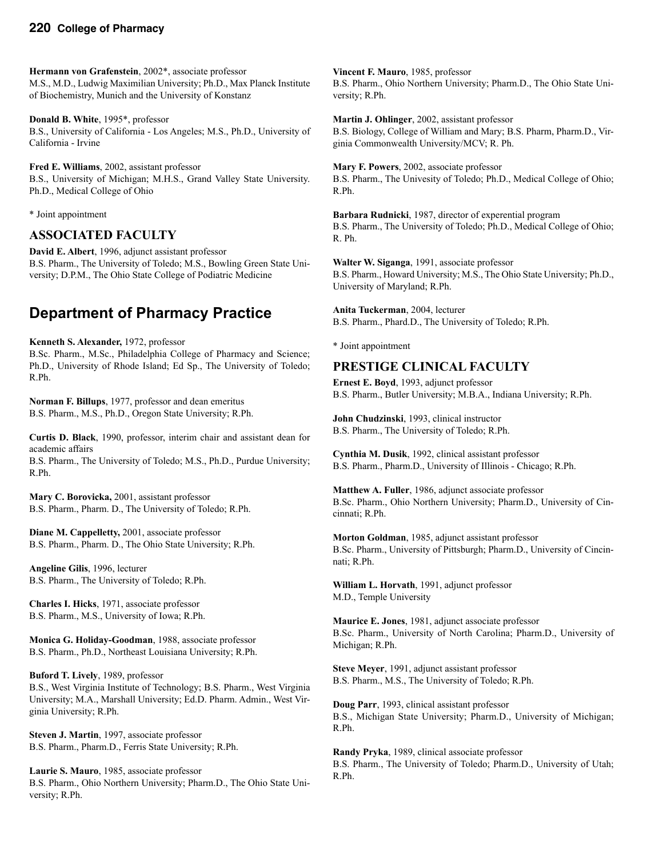**Hermann von Grafenstein**, 2002\*, associate professor M.S., M.D., Ludwig Maximilian University; Ph.D., Max Planck Institute of Biochemistry, Munich and the University of Konstanz

**Donald B. White**, 1995\*, professor B.S., University of California - Los Angeles; M.S., Ph.D., University of California - Irvine

**Fred E. Williams**, 2002, assistant professor B.S., University of Michigan; M.H.S., Grand Valley State University. Ph.D., Medical College of Ohio

\* Joint appointment

## **ASSOCIATED FACULTY**

**David E. Albert**, 1996, adjunct assistant professor B.S. Pharm., The University of Toledo; M.S., Bowling Green State University; D.P.M., The Ohio State College of Podiatric Medicine

# **Department of Pharmacy Practice**

**Kenneth S. Alexander,** 1972, professor B.Sc. Pharm., M.Sc., Philadelphia College of Pharmacy and Science; Ph.D., University of Rhode Island; Ed Sp., The University of Toledo; R.Ph.

**Norman F. Billups**, 1977, professor and dean emeritus B.S. Pharm., M.S., Ph.D., Oregon State University; R.Ph.

**Curtis D. Black**, 1990, professor, interim chair and assistant dean for academic affairs B.S. Pharm., The University of Toledo; M.S., Ph.D., Purdue University; R.Ph.

**Mary C. Borovicka,** 2001, assistant professor B.S. Pharm., Pharm. D., The University of Toledo; R.Ph.

**Diane M. Cappelletty,** 2001, associate professor B.S. Pharm., Pharm. D., The Ohio State University; R.Ph.

**Angeline Gilis**, 1996, lecturer B.S. Pharm., The University of Toledo; R.Ph.

**Charles I. Hicks**, 1971, associate professor B.S. Pharm., M.S., University of Iowa; R.Ph.

**Monica G. Holiday-Goodman**, 1988, associate professor B.S. Pharm., Ph.D., Northeast Louisiana University; R.Ph.

### **Buford T. Lively**, 1989, professor

B.S., West Virginia Institute of Technology; B.S. Pharm., West Virginia University; M.A., Marshall University; Ed.D. Pharm. Admin., West Virginia University; R.Ph.

**Steven J. Martin**, 1997, associate professor B.S. Pharm., Pharm.D., Ferris State University; R.Ph.

**Laurie S. Mauro**, 1985, associate professor B.S. Pharm., Ohio Northern University; Pharm.D., The Ohio State University; R.Ph.

**Vincent F. Mauro**, 1985, professor B.S. Pharm., Ohio Northern University; Pharm.D., The Ohio State University; R.Ph.

**Martin J. Ohlinger**, 2002, assistant professor B.S. Biology, College of William and Mary; B.S. Pharm, Pharm.D., Virginia Commonwealth University/MCV; R. Ph.

**Mary F. Powers**, 2002, associate professor B.S. Pharm., The Univesity of Toledo; Ph.D., Medical College of Ohio; R.Ph.

**Barbara Rudnicki**, 1987, director of experential program B.S. Pharm., The University of Toledo; Ph.D., Medical College of Ohio; R. Ph.

**Walter W. Siganga**, 1991, associate professor B.S. Pharm., Howard University; M.S., The Ohio State University; Ph.D., University of Maryland; R.Ph.

**Anita Tuckerman**, 2004, lecturer B.S. Pharm., Phard.D., The University of Toledo; R.Ph.

\* Joint appointment

## **PRESTIGE CLINICAL FACULTY**

**Ernest E. Boyd**, 1993, adjunct professor B.S. Pharm., Butler University; M.B.A., Indiana University; R.Ph.

**John Chudzinski**, 1993, clinical instructor B.S. Pharm., The University of Toledo; R.Ph.

**Cynthia M. Dusik**, 1992, clinical assistant professor B.S. Pharm., Pharm.D., University of Illinois - Chicago; R.Ph.

**Matthew A. Fuller**, 1986, adjunct associate professor B.Sc. Pharm., Ohio Northern University; Pharm.D., University of Cincinnati; R.Ph.

**Morton Goldman**, 1985, adjunct assistant professor B.Sc. Pharm., University of Pittsburgh; Pharm.D., University of Cincinnati; R.Ph.

**William L. Horvath**, 1991, adjunct professor M.D., Temple University

**Maurice E. Jones**, 1981, adjunct associate professor B.Sc. Pharm., University of North Carolina; Pharm.D., University of Michigan; R.Ph.

**Steve Meyer**, 1991, adjunct assistant professor B.S. Pharm., M.S., The University of Toledo; R.Ph.

**Doug Parr**, 1993, clinical assistant professor B.S., Michigan State University; Pharm.D., University of Michigan; R.Ph.

**Randy Pryka**, 1989, clinical associate professor B.S. Pharm., The University of Toledo; Pharm.D., University of Utah; R.Ph.